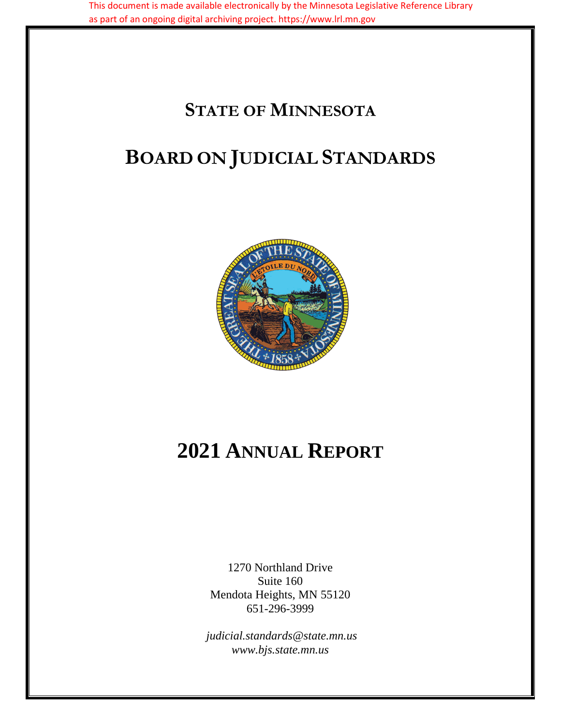# **STATE OF MINNESOTA**

# **BOARD ON JUDICIAL STANDARDS**



# **2021 ANNUAL REPORT**

1270 Northland Drive Suite 160 Mendota Heights, MN 55120 651-296-3999

*judicial.standards@state.mn.us www.bjs.state.mn.us*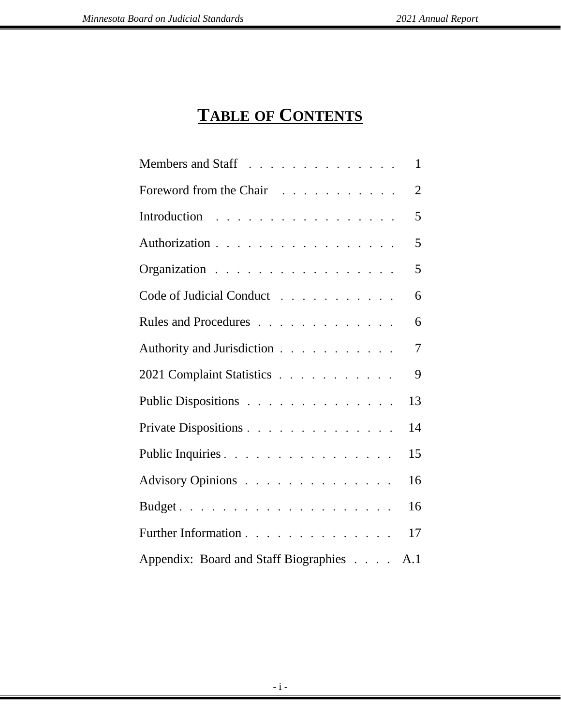# **TABLE OF CONTENTS**

| Members and Staff                     | $\mathbf{1}$   |
|---------------------------------------|----------------|
| Foreword from the Chair               | $\overline{2}$ |
| Introduction                          | 5              |
| Authorization                         | 5              |
| Organization                          | 5              |
| Code of Judicial Conduct              | 6              |
| Rules and Procedures                  | 6              |
| Authority and Jurisdiction            | $\overline{7}$ |
| 2021 Complaint Statistics             | 9              |
| Public Dispositions                   | 13             |
| Private Dispositions                  | 14             |
| Public Inquiries                      | 15             |
| Advisory Opinions                     | 16             |
|                                       | 16             |
| Further Information                   | 17             |
| Appendix: Board and Staff Biographies | A.1            |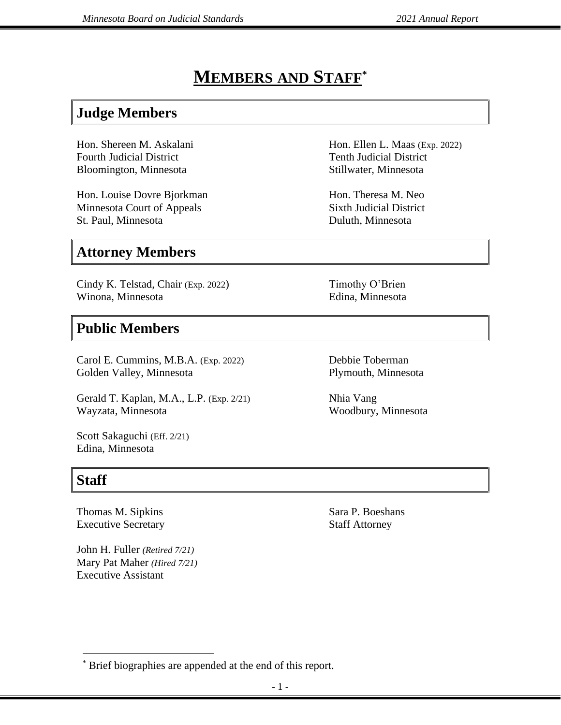### **MEMBERS AND STAFF \***

### **Judge Members**

Hon. Shereen M. Askalani Fourth Judicial District Bloomington, Minnesota

Hon. Louise Dovre Bjorkman Minnesota Court of Appeals St. Paul, Minnesota

### **Attorney Members**

Cindy K. Telstad, Chair (Exp. 2022) Winona, Minnesota

### **Public Members**

Carol E. Cummins, M.B.A. (Exp. 2022) Golden Valley, Minnesota

Gerald T. Kaplan, M.A., L.P. (Exp. 2/21) Wayzata, Minnesota

Scott Sakaguchi (Eff. 2/21) Edina, Minnesota

### **Staff**

Thomas M. Sipkins Executive Secretary

John H. Fuller *(Retired 7/21)* Mary Pat Maher *(Hired 7/21)*  Executive Assistant

Hon. Ellen L. Maas (Exp. 2022) Tenth Judicial District Stillwater, Minnesota

Hon. Theresa M. Neo Sixth Judicial District Duluth, Minnesota

Timothy O'Brien Edina, Minnesota

Debbie Toberman Plymouth, Minnesota

Nhia Vang Woodbury, Minnesota

Sara P. Boeshans Staff Attorney

<sup>\*</sup> Brief biographies are appended at the end of this report.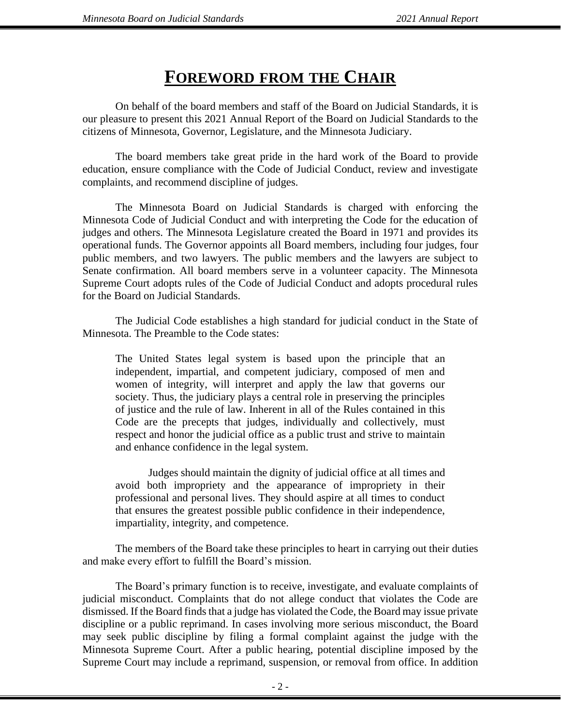### **FOREWORD FROM THE CHAIR**

On behalf of the board members and staff of the Board on Judicial Standards, it is our pleasure to present this 2021 Annual Report of the Board on Judicial Standards to the citizens of Minnesota, Governor, Legislature, and the Minnesota Judiciary.

The board members take great pride in the hard work of the Board to provide education, ensure compliance with the Code of Judicial Conduct, review and investigate complaints, and recommend discipline of judges.

The Minnesota Board on Judicial Standards is charged with enforcing the Minnesota Code of Judicial Conduct and with interpreting the Code for the education of judges and others. The Minnesota Legislature created the Board in 1971 and provides its operational funds. The Governor appoints all Board members, including four judges, four public members, and two lawyers. The public members and the lawyers are subject to Senate confirmation. All board members serve in a volunteer capacity. The Minnesota Supreme Court adopts rules of the Code of Judicial Conduct and adopts procedural rules for the Board on Judicial Standards.

The Judicial Code establishes a high standard for judicial conduct in the State of Minnesota. The Preamble to the Code states:

The United States legal system is based upon the principle that an independent, impartial, and competent judiciary, composed of men and women of integrity, will interpret and apply the law that governs our society. Thus, the judiciary plays a central role in preserving the principles of justice and the rule of law. Inherent in all of the Rules contained in this Code are the precepts that judges, individually and collectively, must respect and honor the judicial office as a public trust and strive to maintain and enhance confidence in the legal system.

Judges should maintain the dignity of judicial office at all times and avoid both impropriety and the appearance of impropriety in their professional and personal lives. They should aspire at all times to conduct that ensures the greatest possible public confidence in their independence, impartiality, integrity, and competence.

The members of the Board take these principles to heart in carrying out their duties and make every effort to fulfill the Board's mission.

The Board's primary function is to receive, investigate, and evaluate complaints of judicial misconduct. Complaints that do not allege conduct that violates the Code are dismissed. If the Board finds that a judge has violated the Code, the Board may issue private discipline or a public reprimand. In cases involving more serious misconduct, the Board may seek public discipline by filing a formal complaint against the judge with the Minnesota Supreme Court. After a public hearing, potential discipline imposed by the Supreme Court may include a reprimand, suspension, or removal from office. In addition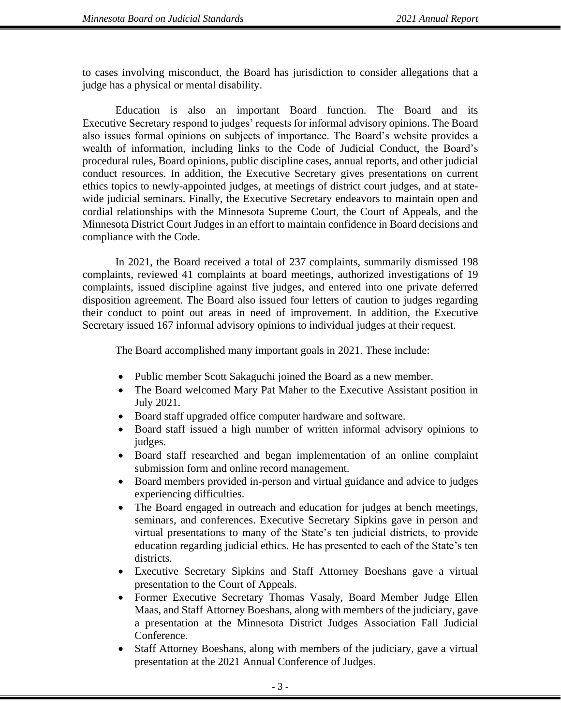to cases involving misconduct, the Board has jurisdiction to consider allegations that a judge has a physical or mental disability.

Education is also an important Board function. The Board and its Executive Secretary respond to judges' requests for informal advisory opinions. The Board also issues formal opinions on subjects of importance. The Board's website provides a wealth of information, including links to the Code of Judicial Conduct, the Board's procedural rules, Board opinions, public discipline cases, annual reports, and other judicial conduct resources. In addition, the Executive Secretary gives presentations on current ethics topics to newly-appointed judges, at meetings of district court judges, and at statewide judicial seminars. Finally, the Executive Secretary endeavors to maintain open and cordial relationships with the Minnesota Supreme Court, the Court of Appeals, and the Minnesota District Court Judges in an effort to maintain confidence in Board decisions and compliance with the Code.

In 2021, the Board received a total of 237 complaints, summarily dismissed 198 complaints, reviewed 41 complaints at board meetings, authorized investigations of 19 complaints, issued discipline against five judges, and entered into one private deferred disposition agreement. The Board also issued four letters of caution to judges regarding their conduct to point out areas in need of improvement. In addition, the Executive Secretary issued 167 informal advisory opinions to individual judges at their request.

The Board accomplished many important goals in 2021. These include:

- Public member Scott Sakaguchi joined the Board as a new member.
- The Board welcomed Mary Pat Maher to the Executive Assistant position in July 2021.
- Board staff upgraded office computer hardware and software.
- Board staff issued a high number of written informal advisory opinions to judges.
- Board staff researched and began implementation of an online complaint submission form and online record management.
- Board members provided in-person and virtual guidance and advice to judges experiencing difficulties.
- The Board engaged in outreach and education for judges at bench meetings, seminars, and conferences. Executive Secretary Sipkins gave in person and virtual presentations to many of the State's ten judicial districts, to provide education regarding judicial ethics. He has presented to each of the State's ten districts.
- Executive Secretary Sipkins and Staff Attorney Boeshans gave a virtual presentation to the Court of Appeals.
- Former Executive Secretary Thomas Vasaly, Board Member Judge Ellen Maas, and Staff Attorney Boeshans, along with members of the judiciary, gave a presentation at the Minnesota District Judges Association Fall Judicial Conference.
- Staff Attorney Boeshans, along with members of the judiciary, gave a virtual presentation at the 2021 Annual Conference of Judges.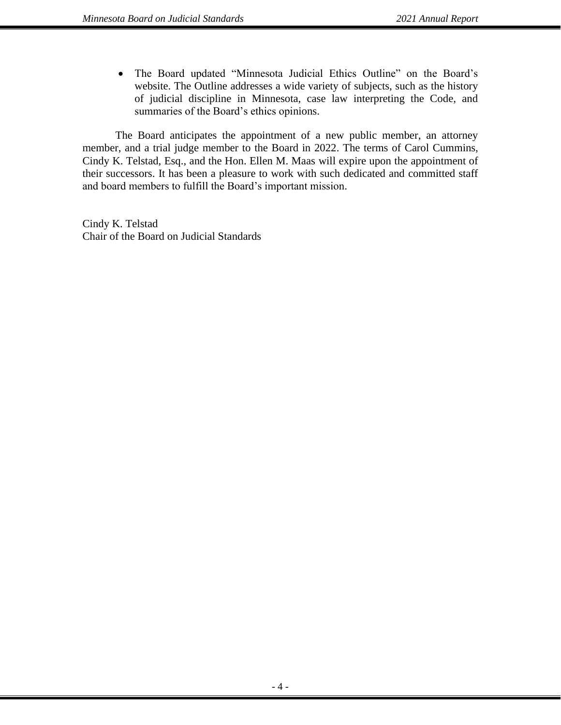• The Board updated "Minnesota Judicial Ethics Outline" on the Board's website. The Outline addresses a wide variety of subjects, such as the history of judicial discipline in Minnesota, case law interpreting the Code, and summaries of the Board's ethics opinions.

The Board anticipates the appointment of a new public member, an attorney member, and a trial judge member to the Board in 2022. The terms of Carol Cummins, Cindy K. Telstad, Esq., and the Hon. Ellen M. Maas will expire upon the appointment of their successors. It has been a pleasure to work with such dedicated and committed staff and board members to fulfill the Board's important mission.

Cindy K. Telstad Chair of the Board on Judicial Standards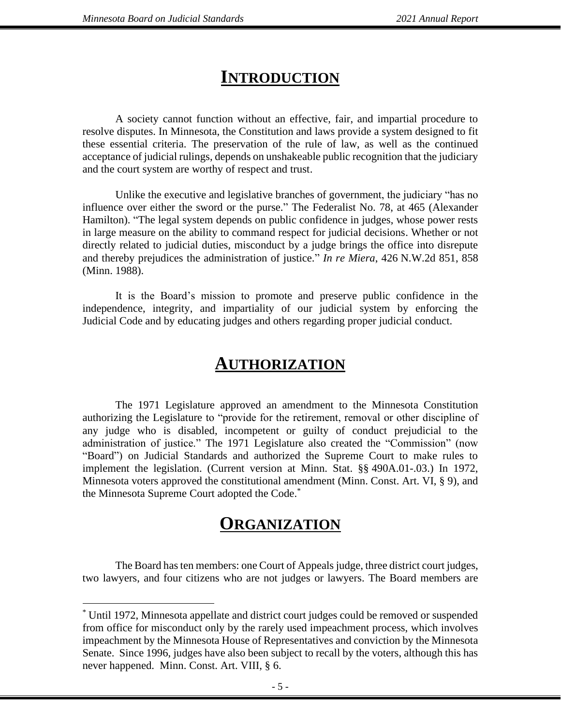### **INTRODUCTION**

A society cannot function without an effective, fair, and impartial procedure to resolve disputes. In Minnesota, the Constitution and laws provide a system designed to fit these essential criteria. The preservation of the rule of law, as well as the continued acceptance of judicial rulings, depends on unshakeable public recognition that the judiciary and the court system are worthy of respect and trust.

Unlike the executive and legislative branches of government, the judiciary "has no influence over either the sword or the purse." The Federalist No. 78, at 465 (Alexander Hamilton). "The legal system depends on public confidence in judges, whose power rests in large measure on the ability to command respect for judicial decisions. Whether or not directly related to judicial duties, misconduct by a judge brings the office into disrepute and thereby prejudices the administration of justice." *In re Miera*, 426 N.W.2d 851, 858 (Minn. 1988).

It is the Board's mission to promote and preserve public confidence in the independence, integrity, and impartiality of our judicial system by enforcing the Judicial Code and by educating judges and others regarding proper judicial conduct.

### **AUTHORIZATION**

The 1971 Legislature approved an amendment to the Minnesota Constitution authorizing the Legislature to "provide for the retirement, removal or other discipline of any judge who is disabled, incompetent or guilty of conduct prejudicial to the administration of justice." The 1971 Legislature also created the "Commission" (now "Board") on Judicial Standards and authorized the Supreme Court to make rules to implement the legislation. (Current version at Minn. Stat. §§ 490A.01-.03.) In 1972, Minnesota voters approved the constitutional amendment (Minn. Const. Art. VI, § 9), and the Minnesota Supreme Court adopted the Code. \*

### **ORGANIZATION**

The Board has ten members: one Court of Appeals judge, three district court judges, two lawyers, and four citizens who are not judges or lawyers. The Board members are

<sup>\*</sup> Until 1972, Minnesota appellate and district court judges could be removed or suspended from office for misconduct only by the rarely used impeachment process, which involves impeachment by the Minnesota House of Representatives and conviction by the Minnesota Senate. Since 1996, judges have also been subject to recall by the voters, although this has never happened. Minn. Const. Art. VIII, § 6.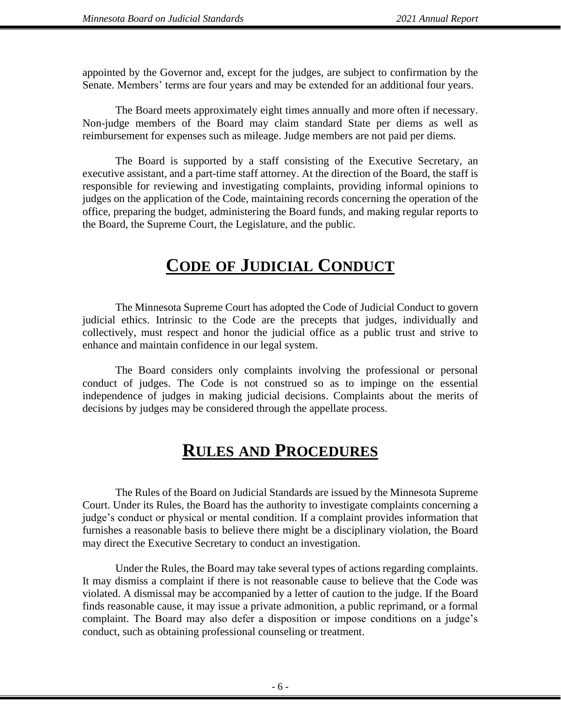appointed by the Governor and, except for the judges, are subject to confirmation by the Senate. Members' terms are four years and may be extended for an additional four years.

The Board meets approximately eight times annually and more often if necessary. Non-judge members of the Board may claim standard State per diems as well as reimbursement for expenses such as mileage. Judge members are not paid per diems.

The Board is supported by a staff consisting of the Executive Secretary, an executive assistant, and a part-time staff attorney. At the direction of the Board, the staff is responsible for reviewing and investigating complaints, providing informal opinions to judges on the application of the Code, maintaining records concerning the operation of the office, preparing the budget, administering the Board funds, and making regular reports to the Board, the Supreme Court, the Legislature, and the public.

## **CODE OF JUDICIAL CONDUCT**

The Minnesota Supreme Court has adopted the Code of Judicial Conduct to govern judicial ethics. Intrinsic to the Code are the precepts that judges, individually and collectively, must respect and honor the judicial office as a public trust and strive to enhance and maintain confidence in our legal system.

The Board considers only complaints involving the professional or personal conduct of judges. The Code is not construed so as to impinge on the essential independence of judges in making judicial decisions. Complaints about the merits of decisions by judges may be considered through the appellate process.

## **RULES AND PROCEDURES**

The Rules of the Board on Judicial Standards are issued by the Minnesota Supreme Court. Under its Rules, the Board has the authority to investigate complaints concerning a judge's conduct or physical or mental condition. If a complaint provides information that furnishes a reasonable basis to believe there might be a disciplinary violation, the Board may direct the Executive Secretary to conduct an investigation.

Under the Rules, the Board may take several types of actions regarding complaints. It may dismiss a complaint if there is not reasonable cause to believe that the Code was violated. A dismissal may be accompanied by a letter of caution to the judge. If the Board finds reasonable cause, it may issue a private admonition, a public reprimand, or a formal complaint. The Board may also defer a disposition or impose conditions on a judge's conduct, such as obtaining professional counseling or treatment.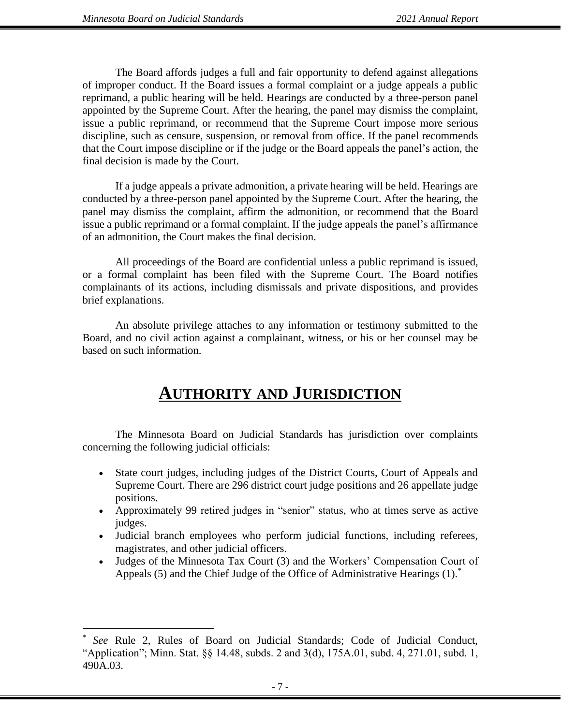The Board affords judges a full and fair opportunity to defend against allegations of improper conduct. If the Board issues a formal complaint or a judge appeals a public reprimand, a public hearing will be held. Hearings are conducted by a three-person panel appointed by the Supreme Court. After the hearing, the panel may dismiss the complaint, issue a public reprimand, or recommend that the Supreme Court impose more serious discipline, such as censure, suspension, or removal from office. If the panel recommends that the Court impose discipline or if the judge or the Board appeals the panel's action, the final decision is made by the Court.

If a judge appeals a private admonition, a private hearing will be held. Hearings are conducted by a three-person panel appointed by the Supreme Court. After the hearing, the panel may dismiss the complaint, affirm the admonition, or recommend that the Board issue a public reprimand or a formal complaint. If the judge appeals the panel's affirmance of an admonition, the Court makes the final decision.

All proceedings of the Board are confidential unless a public reprimand is issued, or a formal complaint has been filed with the Supreme Court. The Board notifies complainants of its actions, including dismissals and private dispositions, and provides brief explanations.

An absolute privilege attaches to any information or testimony submitted to the Board, and no civil action against a complainant, witness, or his or her counsel may be based on such information.

## **AUTHORITY AND JURISDICTION**

The Minnesota Board on Judicial Standards has jurisdiction over complaints concerning the following judicial officials:

- State court judges, including judges of the District Courts, Court of Appeals and Supreme Court. There are 296 district court judge positions and 26 appellate judge positions.
- Approximately 99 retired judges in "senior" status, who at times serve as active judges.
- Judicial branch employees who perform judicial functions, including referees, magistrates, and other judicial officers.
- Judges of the Minnesota Tax Court (3) and the Workers' Compensation Court of Appeals (5) and the Chief Judge of the Office of Administrative Hearings (1).<sup>\*</sup>

<sup>\*</sup> *See* Rule 2, Rules of Board on Judicial Standards; Code of Judicial Conduct, "Application"; Minn. Stat. §§ 14.48, subds. 2 and 3(d), 175A.01, subd. 4, 271.01, subd. 1, 490A.03.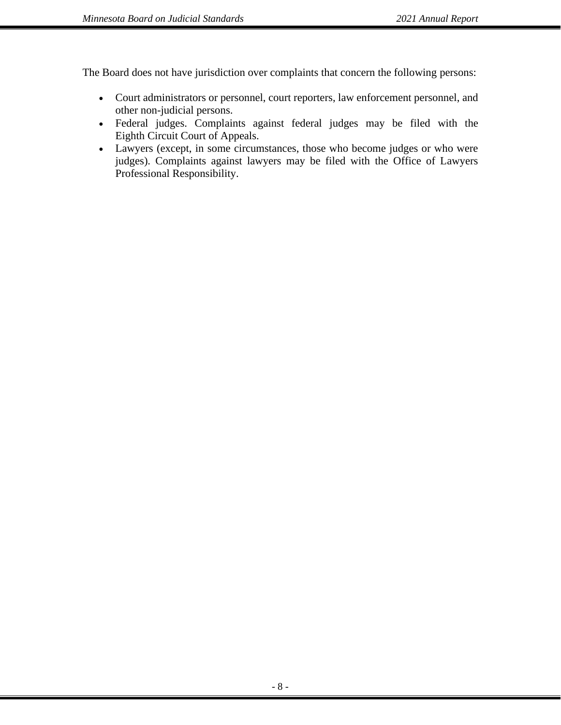The Board does not have jurisdiction over complaints that concern the following persons:

- Court administrators or personnel, court reporters, law enforcement personnel, and other non-judicial persons.
- Federal judges. Complaints against federal judges may be filed with the Eighth Circuit Court of Appeals.
- Lawyers (except, in some circumstances, those who become judges or who were judges). Complaints against lawyers may be filed with the Office of Lawyers Professional Responsibility.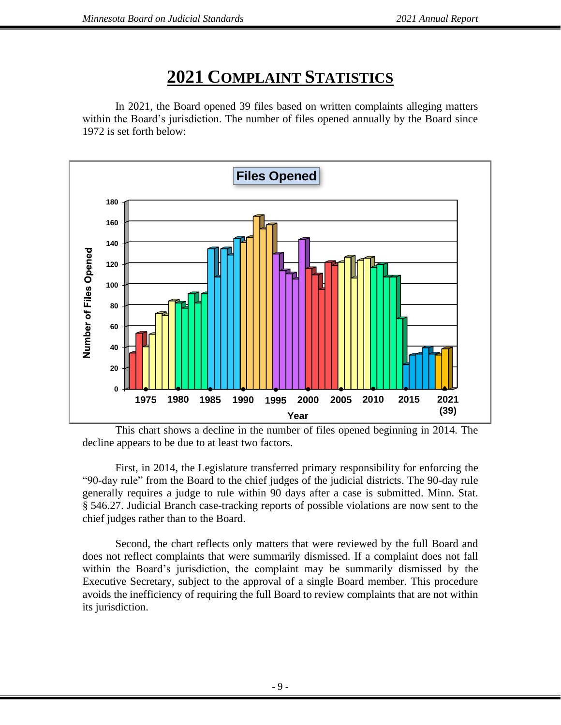# **2021 COMPLAINT STATISTICS**

In 2021, the Board opened 39 files based on written complaints alleging matters within the Board's jurisdiction. The number of files opened annually by the Board since 1972 is set forth below:



This chart shows a decline in the number of files opened beginning in 2014. The decline appears to be due to at least two factors.

 First, in 2014, the Legislature transferred primary responsibility for enforcing the "90-day rule" from the Board to the chief judges of the judicial districts. The 90-day rule generally requires a judge to rule within 90 days after a case is submitted. Minn. Stat. § 546.27. Judicial Branch case-tracking reports of possible violations are now sent to the chief judges rather than to the Board.

Second, the chart reflects only matters that were reviewed by the full Board and does not reflect complaints that were summarily dismissed. If a complaint does not fall within the Board's jurisdiction, the complaint may be summarily dismissed by the Executive Secretary, subject to the approval of a single Board member. This procedure avoids the inefficiency of requiring the full Board to review complaints that are not within its jurisdiction.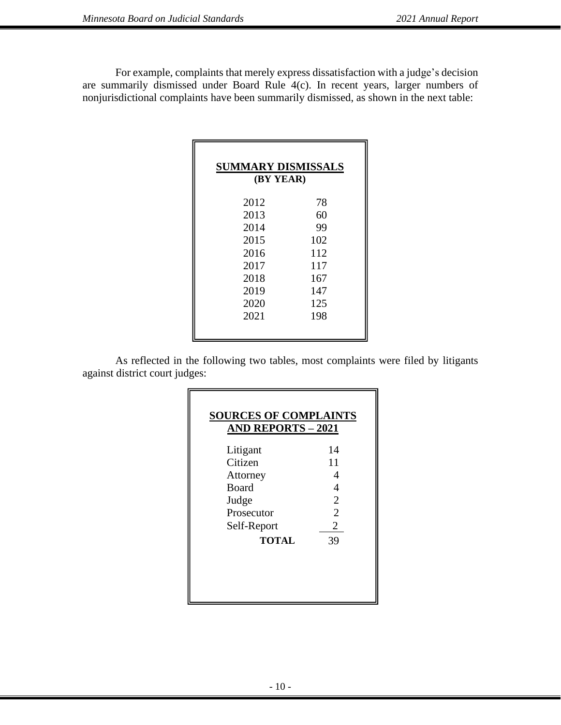For example, complaints that merely express dissatisfaction with a judge's decision are summarily dismissed under Board Rule 4(c). In recent years, larger numbers of nonjurisdictional complaints have been summarily dismissed, as shown in the next table:

| <b>SUMMARY DISMISSALS</b><br>(BY YEAR) |     |
|----------------------------------------|-----|
| 2012                                   | 78  |
| 2013                                   | 60  |
| 2014                                   | 99  |
| 2015                                   | 102 |
| 2016                                   | 112 |
| 2017                                   | 117 |
| 2018                                   | 167 |
| 2019                                   | 147 |
| 2020                                   | 125 |
| 2021                                   | 198 |
|                                        |     |

As reflected in the following two tables, most complaints were filed by litigants against district court judges:

| <b>SOURCES OF COMPLAINTS</b><br><b>AND REPORTS - 2021</b> |                |
|-----------------------------------------------------------|----------------|
| Litigant                                                  | 14             |
| Citizen                                                   | 11             |
| Attorney                                                  | 4              |
| <b>Board</b>                                              | 4              |
| Judge                                                     | $\overline{2}$ |
| Prosecutor                                                | $\overline{2}$ |
| Self-Report                                               | 2              |
| <b>TOTAL</b>                                              | 39             |
|                                                           |                |
|                                                           |                |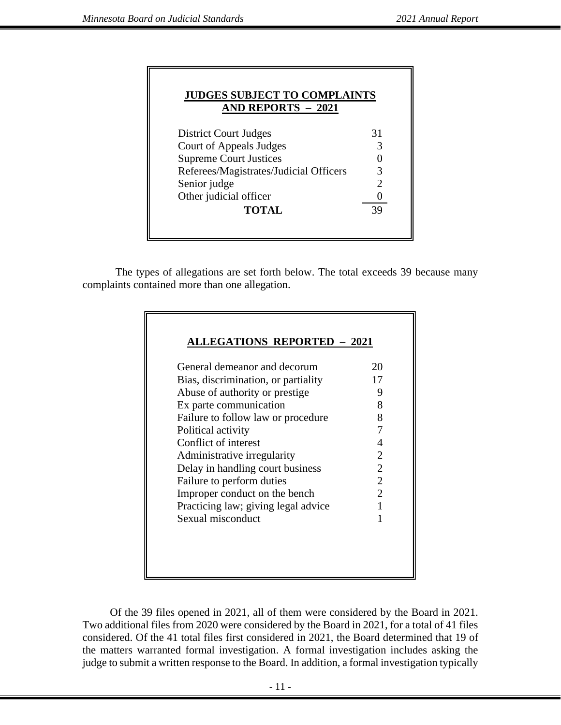| <b>JUDGES SUBJECT TO COMPLAINTS</b><br><b>AND REPORTS - 2021</b> |                             |  |
|------------------------------------------------------------------|-----------------------------|--|
| District Court Judges                                            | 31                          |  |
| Court of Appeals Judges                                          | 3                           |  |
| <b>Supreme Court Justices</b>                                    |                             |  |
| Referees/Magistrates/Judicial Officers                           | 3                           |  |
| Senior judge                                                     | $\mathcal{D}_{\mathcal{A}}$ |  |
| Other judicial officer                                           |                             |  |
| <b>TOTAL</b>                                                     | 39                          |  |

 The types of allegations are set forth below. The total exceeds 39 because many complaints contained more than one allegation.

| General demeanor and decorum        | 20             |
|-------------------------------------|----------------|
| Bias, discrimination, or partiality | 17             |
| Abuse of authority or prestige      | 9              |
| Ex parte communication              | 8              |
| Failure to follow law or procedure  | 8              |
| Political activity                  | 7              |
| Conflict of interest                | 4              |
| Administrative irregularity         | 2              |
| Delay in handling court business    | $\overline{2}$ |
| Failure to perform duties           | $\overline{2}$ |
| Improper conduct on the bench       | $\overline{2}$ |
| Practicing law; giving legal advice |                |
| Sexual misconduct                   | 1              |

 Of the 39 files opened in 2021, all of them were considered by the Board in 2021. Two additional files from 2020 were considered by the Board in 2021, for a total of 41 files considered. Of the 41 total files first considered in 2021, the Board determined that 19 of the matters warranted formal investigation. A formal investigation includes asking the judge to submit a written response to the Board. In addition, a formal investigation typically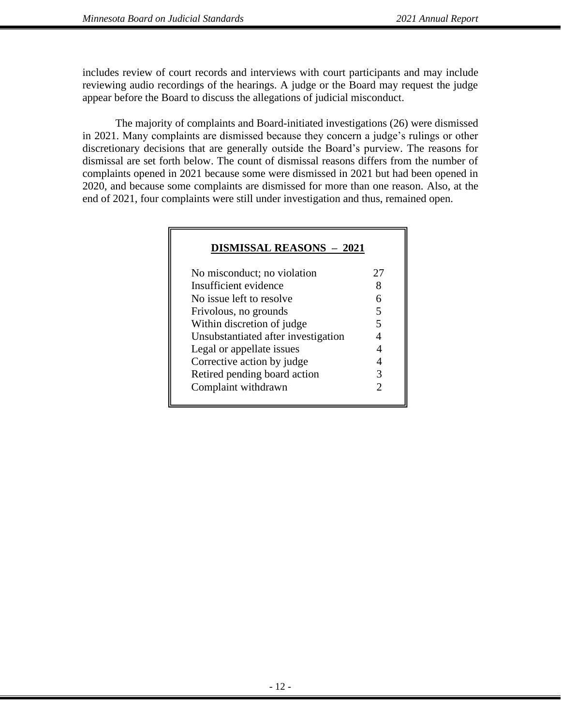includes review of court records and interviews with court participants and may include reviewing audio recordings of the hearings. A judge or the Board may request the judge appear before the Board to discuss the allegations of judicial misconduct.

The majority of complaints and Board-initiated investigations (26) were dismissed in 2021. Many complaints are dismissed because they concern a judge's rulings or other discretionary decisions that are generally outside the Board's purview. The reasons for dismissal are set forth below. The count of dismissal reasons differs from the number of complaints opened in 2021 because some were dismissed in 2021 but had been opened in 2020, and because some complaints are dismissed for more than one reason. Also, at the end of 2021, four complaints were still under investigation and thus, remained open.

| No misconduct; no violation         | 27 |
|-------------------------------------|----|
| Insufficient evidence               |    |
| No issue left to resolve            | 6  |
| Frivolous, no grounds               | 5  |
| Within discretion of judge          | 5  |
| Unsubstantiated after investigation |    |
| Legal or appellate issues           |    |
| Corrective action by judge          |    |
| Retired pending board action        | 3  |
| Complaint withdrawn                 | 2  |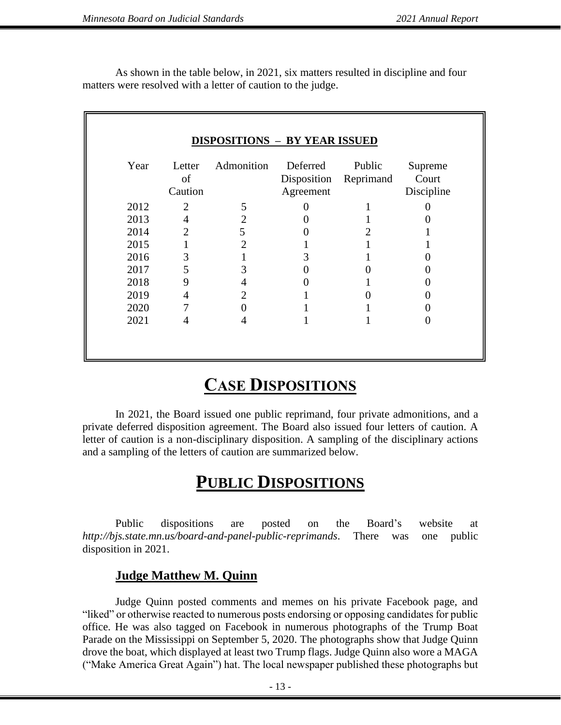As shown in the table below, in 2021, six matters resulted in discipline and four matters were resolved with a letter of caution to the judge.

| Year | Letter<br>of<br>Caution     | Admonition     | Deferred<br>Disposition<br>Agreement | Public<br>Reprimand | Supreme<br>Court<br>Discipline |
|------|-----------------------------|----------------|--------------------------------------|---------------------|--------------------------------|
| 2012 | $\mathcal{D}_{\mathcal{L}}$ | 5              |                                      |                     |                                |
| 2013 | 4                           | $\overline{2}$ |                                      |                     |                                |
| 2014 | $\mathfrak{D}$              | 5              |                                      |                     |                                |
| 2015 |                             |                |                                      |                     |                                |
| 2016 | 3                           |                |                                      |                     |                                |
| 2017 | 5                           |                |                                      |                     |                                |
| 2018 | 9                           |                |                                      |                     |                                |
| 2019 | 4                           |                |                                      |                     |                                |
| 2020 |                             |                |                                      |                     |                                |
| 2021 | $\overline{4}$              |                |                                      |                     |                                |

### **CASE DISPOSITIONS**

In 2021, the Board issued one public reprimand, four private admonitions, and a private deferred disposition agreement. The Board also issued four letters of caution. A letter of caution is a non-disciplinary disposition. A sampling of the disciplinary actions and a sampling of the letters of caution are summarized below.

### **PUBLIC DISPOSITIONS**

Public dispositions are posted on the Board's website at *http://bjs.state.mn.us/board-and-panel-public-reprimands*. There was one public disposition in 2021.

### **Judge Matthew M. Quinn**

Judge Quinn posted comments and memes on his private Facebook page, and "liked" or otherwise reacted to numerous posts endorsing or opposing candidates for public office. He was also tagged on Facebook in numerous photographs of the Trump Boat Parade on the Mississippi on September 5, 2020. The photographs show that Judge Quinn drove the boat, which displayed at least two Trump flags. Judge Quinn also wore a MAGA ("Make America Great Again") hat. The local newspaper published these photographs but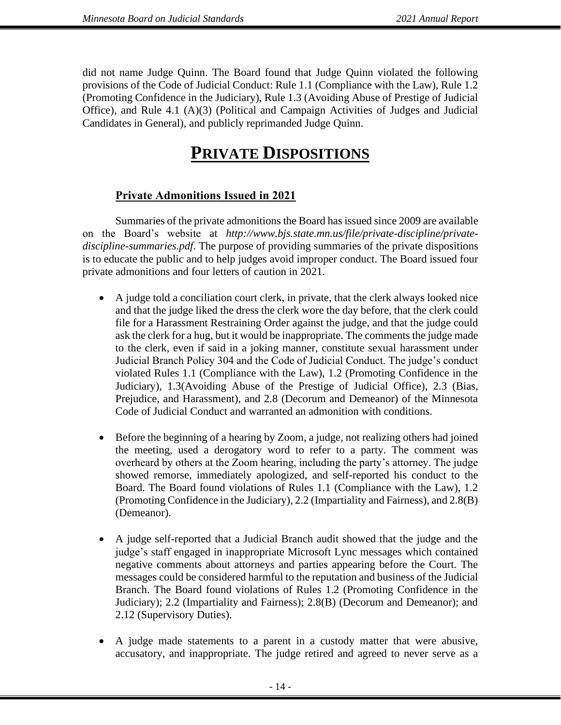did not name Judge Quinn. The Board found that Judge Quinn violated the following provisions of the Code of Judicial Conduct: Rule 1.1 (Compliance with the Law), Rule 1.2 (Promoting Confidence in the Judiciary), Rule 1.3 (Avoiding Abuse of Prestige of Judicial Office), and Rule 4.1 (A)(3) (Political and Campaign Activities of Judges and Judicial Candidates in General), and publicly reprimanded Judge Quinn.

# **PRIVATE DISPOSITIONS**

### **Private Admonitions Issued in 2021**

Summaries of the private admonitions the Board has issued since 2009 are available on the Board's website at *http://www.bjs.state.mn.us/file/private-discipline/privatediscipline-summaries.pdf*. The purpose of providing summaries of the private dispositions is to educate the public and to help judges avoid improper conduct. The Board issued four private admonitions and four letters of caution in 2021.

- A judge told a conciliation court clerk, in private, that the clerk always looked nice and that the judge liked the dress the clerk wore the day before, that the clerk could file for a Harassment Restraining Order against the judge, and that the judge could ask the clerk for a hug, but it would be inappropriate. The comments the judge made to the clerk, even if said in a joking manner, constitute sexual harassment under Judicial Branch Policy 304 and the Code of Judicial Conduct. The judge's conduct violated Rules 1.1 (Compliance with the Law), 1.2 (Promoting Confidence in the Judiciary), 1.3(Avoiding Abuse of the Prestige of Judicial Office), 2.3 (Bias, Prejudice, and Harassment), and 2.8 (Decorum and Demeanor) of the Minnesota Code of Judicial Conduct and warranted an admonition with conditions.
- Before the beginning of a hearing by Zoom, a judge, not realizing others had joined the meeting, used a derogatory word to refer to a party. The comment was overheard by others at the Zoom hearing, including the party's attorney. The judge showed remorse, immediately apologized, and self-reported his conduct to the Board. The Board found violations of Rules 1.1 (Compliance with the Law), 1.2 (Promoting Confidence in the Judiciary), 2.2 (Impartiality and Fairness), and 2.8(B) (Demeanor).
- A judge self-reported that a Judicial Branch audit showed that the judge and the judge's staff engaged in inappropriate Microsoft Lync messages which contained negative comments about attorneys and parties appearing before the Court. The messages could be considered harmful to the reputation and business of the Judicial Branch. The Board found violations of Rules 1.2 (Promoting Confidence in the Judiciary); 2.2 (Impartiality and Fairness); 2.8(B) (Decorum and Demeanor); and 2.12 (Supervisory Duties).
- A judge made statements to a parent in a custody matter that were abusive, accusatory, and inappropriate. The judge retired and agreed to never serve as a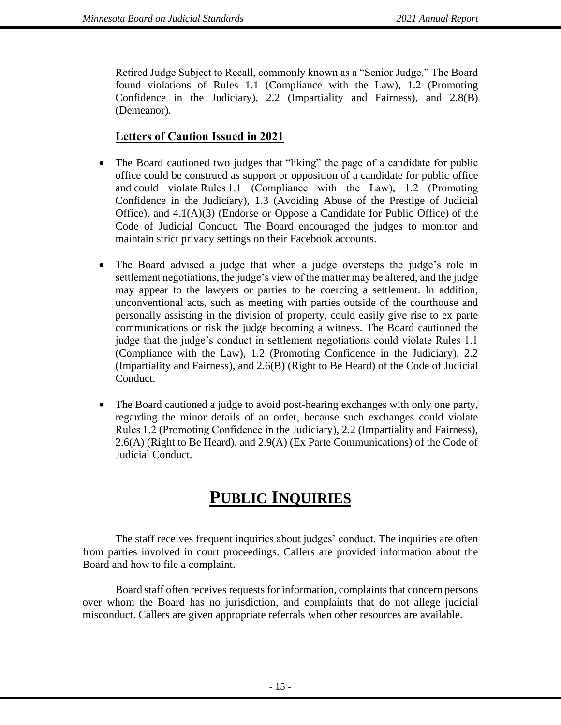Retired Judge Subject to Recall, commonly known as a "Senior Judge." The Board found violations of Rules 1.1 (Compliance with the Law), 1.2 (Promoting Confidence in the Judiciary), 2.2 (Impartiality and Fairness), and 2.8(B) (Demeanor).

### **Letters of Caution Issued in 2021**

- The Board cautioned two judges that "liking" the page of a candidate for public office could be construed as support or opposition of a candidate for public office and could violate Rules 1.1 (Compliance with the Law), 1.2 (Promoting Confidence in the Judiciary), 1.3 (Avoiding Abuse of the Prestige of Judicial Office), and 4.1(A)(3) (Endorse or Oppose a Candidate for Public Office) of the Code of Judicial Conduct. The Board encouraged the judges to monitor and maintain strict privacy settings on their Facebook accounts.
- The Board advised a judge that when a judge oversteps the judge's role in settlement negotiations, the judge's view of the matter may be altered, and the judge may appear to the lawyers or parties to be coercing a settlement. In addition, unconventional acts, such as meeting with parties outside of the courthouse and personally assisting in the division of property, could easily give rise to ex parte communications or risk the judge becoming a witness. The Board cautioned the judge that the judge's conduct in settlement negotiations could violate Rules 1.1 (Compliance with the Law), 1.2 (Promoting Confidence in the Judiciary), 2.2 (Impartiality and Fairness), and 2.6(B) (Right to Be Heard) of the Code of Judicial Conduct.
- The Board cautioned a judge to avoid post-hearing exchanges with only one party, regarding the minor details of an order, because such exchanges could violate Rules 1.2 (Promoting Confidence in the Judiciary), 2.2 (Impartiality and Fairness), 2.6(A) (Right to Be Heard), and 2.9(A) (Ex Parte Communications) of the Code of Judicial Conduct.

## **PUBLIC INQUIRIES**

The staff receives frequent inquiries about judges' conduct. The inquiries are often from parties involved in court proceedings. Callers are provided information about the Board and how to file a complaint.

Board staff often receives requests for information, complaints that concern persons over whom the Board has no jurisdiction, and complaints that do not allege judicial misconduct. Callers are given appropriate referrals when other resources are available.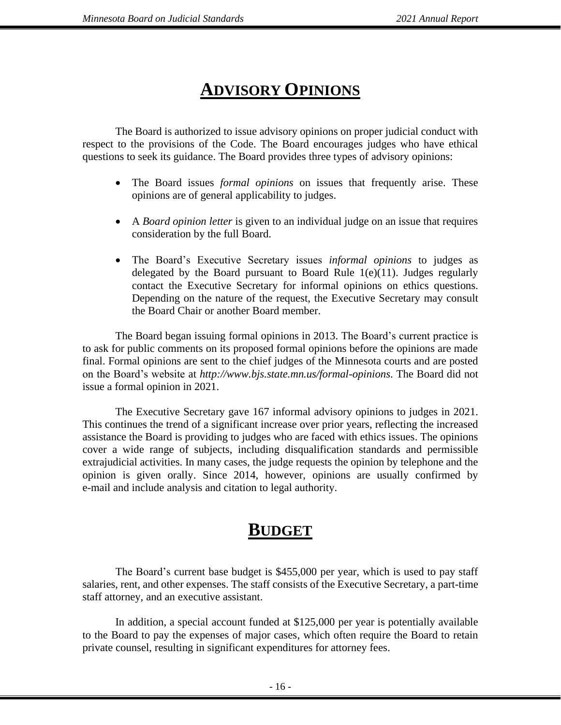# **ADVISORY OPINIONS**

The Board is authorized to issue advisory opinions on proper judicial conduct with respect to the provisions of the Code. The Board encourages judges who have ethical questions to seek its guidance. The Board provides three types of advisory opinions:

- The Board issues *formal opinions* on issues that frequently arise. These opinions are of general applicability to judges.
- A *Board opinion letter* is given to an individual judge on an issue that requires consideration by the full Board.
- The Board's Executive Secretary issues *informal opinions* to judges as delegated by the Board pursuant to Board Rule  $1(e)(11)$ . Judges regularly contact the Executive Secretary for informal opinions on ethics questions. Depending on the nature of the request, the Executive Secretary may consult the Board Chair or another Board member.

The Board began issuing formal opinions in 2013. The Board's current practice is to ask for public comments on its proposed formal opinions before the opinions are made final. Formal opinions are sent to the chief judges of the Minnesota courts and are posted on the Board's website at *http://www.bjs.state.mn.us/formal-opinions*. The Board did not issue a formal opinion in 2021.

The Executive Secretary gave 167 informal advisory opinions to judges in 2021. This continues the trend of a significant increase over prior years, reflecting the increased assistance the Board is providing to judges who are faced with ethics issues. The opinions cover a wide range of subjects, including disqualification standards and permissible extrajudicial activities. In many cases, the judge requests the opinion by telephone and the opinion is given orally. Since 2014, however, opinions are usually confirmed by e-mail and include analysis and citation to legal authority.

### **BUDGET**

The Board's current base budget is \$455,000 per year, which is used to pay staff salaries, rent, and other expenses. The staff consists of the Executive Secretary, a part-time staff attorney, and an executive assistant.

In addition, a special account funded at \$125,000 per year is potentially available to the Board to pay the expenses of major cases, which often require the Board to retain private counsel, resulting in significant expenditures for attorney fees.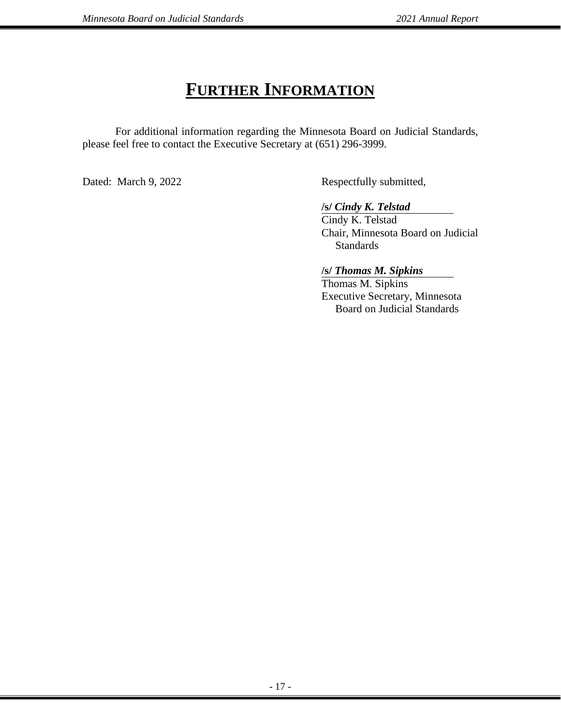### **FURTHER INFORMATION**

For additional information regarding the Minnesota Board on Judicial Standards, please feel free to contact the Executive Secretary at (651) 296-3999.

Dated: March 9, 2022 Respectfully submitted,

**/s/** *Cindy K. Telstad*

Cindy K. Telstad Chair, Minnesota Board on Judicial **Standards** 

**/s/** *Thomas M. Sipkins*

Thomas M. Sipkins Executive Secretary, Minnesota Board on Judicial Standards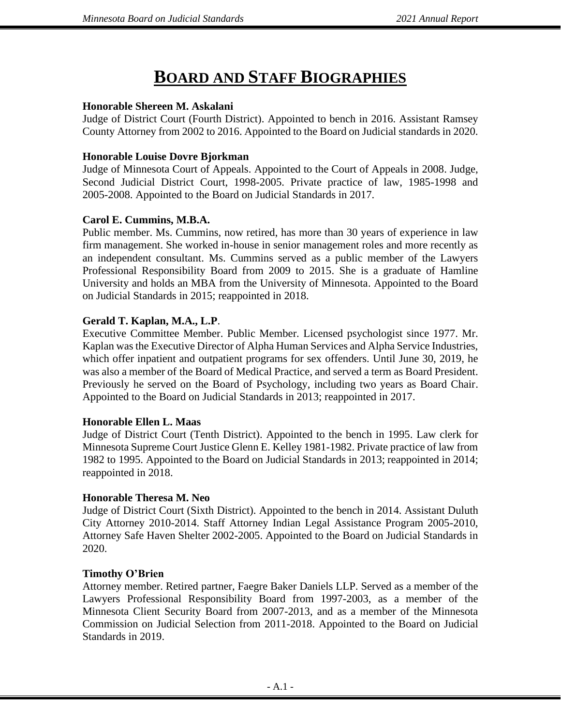## **BOARD AND STAFF BIOGRAPHIES**

#### **Honorable Shereen M. Askalani**

Judge of District Court (Fourth District). Appointed to bench in 2016. Assistant Ramsey County Attorney from 2002 to 2016. Appointed to the Board on Judicial standards in 2020.

#### **Honorable Louise Dovre Bjorkman**

Judge of Minnesota Court of Appeals. Appointed to the Court of Appeals in 2008. Judge, Second Judicial District Court, 1998-2005. Private practice of law, 1985-1998 and 2005-2008. Appointed to the Board on Judicial Standards in 2017.

#### **Carol E. Cummins, M.B.A.**

Public member. Ms. Cummins, now retired, has more than 30 years of experience in law firm management. She worked in-house in senior management roles and more recently as an independent consultant. Ms. Cummins served as a public member of the Lawyers Professional Responsibility Board from 2009 to 2015. She is a graduate of Hamline University and holds an MBA from the University of Minnesota. Appointed to the Board on Judicial Standards in 2015; reappointed in 2018.

#### **Gerald T. Kaplan, M.A., L.P**.

Executive Committee Member. Public Member. Licensed psychologist since 1977. Mr. Kaplan was the Executive Director of Alpha Human Services and Alpha Service Industries, which offer inpatient and outpatient programs for sex offenders. Until June 30, 2019, he was also a member of the Board of Medical Practice, and served a term as Board President. Previously he served on the Board of Psychology, including two years as Board Chair. Appointed to the Board on Judicial Standards in 2013; reappointed in 2017.

#### **Honorable Ellen L. Maas**

Judge of District Court (Tenth District). Appointed to the bench in 1995. Law clerk for Minnesota Supreme Court Justice Glenn E. Kelley 1981-1982. Private practice of law from 1982 to 1995. Appointed to the Board on Judicial Standards in 2013; reappointed in 2014; reappointed in 2018.

#### **Honorable Theresa M. Neo**

Judge of District Court (Sixth District). Appointed to the bench in 2014. Assistant Duluth City Attorney 2010-2014. Staff Attorney Indian Legal Assistance Program 2005-2010, Attorney Safe Haven Shelter 2002-2005. Appointed to the Board on Judicial Standards in 2020.

#### **Timothy O'Brien**

Attorney member. Retired partner, Faegre Baker Daniels LLP. Served as a member of the Lawyers Professional Responsibility Board from 1997-2003, as a member of the Minnesota Client Security Board from 2007-2013, and as a member of the Minnesota Commission on Judicial Selection from 2011-2018. Appointed to the Board on Judicial Standards in 2019.